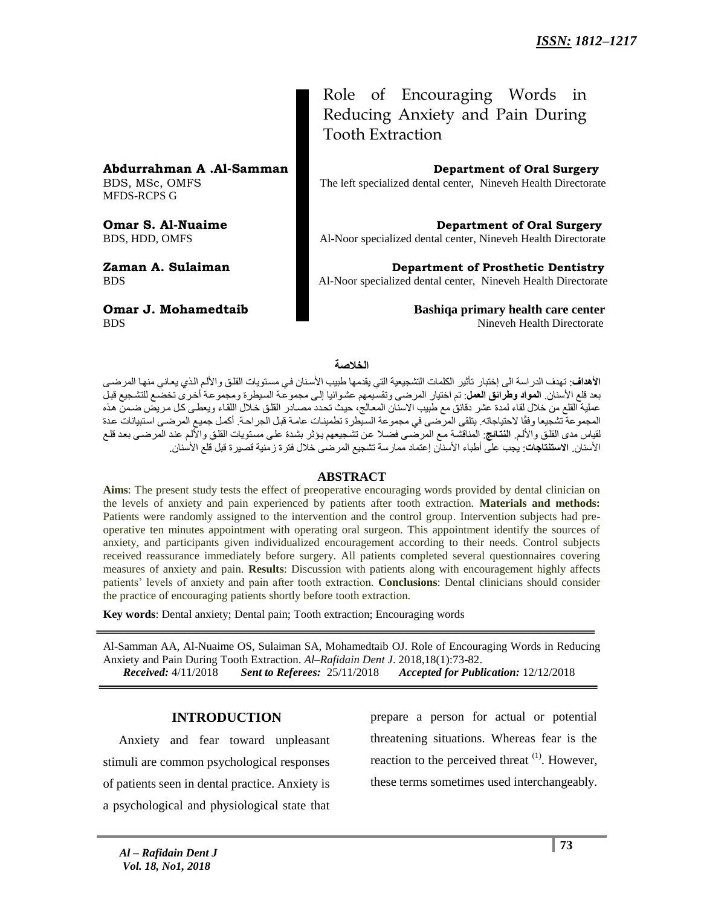**Abdurrahman A .Al-Samman Department of Oral Surgery**

MFDS-RCPS G

Role of Encouraging Words in Reducing Anxiety and Pain During Tooth Extraction

BDS, MSc, OMFS The left specialized dental center, Nineveh Health Directorate

**Omar S. Al-Nuaime Department of Oral Surgery** BDS, HDD, OMFS Al-Noor specialized dental center, Nineveh Health Directorate

**Zaman A. Sulaiman Department of Prosthetic Dentistry** BDS Al-Noor specialized dental center, Nineveh Health Directorate

**Omar J. Mohamedtaib Bashiqa primary health care center** BDS Nineveh Health Directorate

### **الخالصة**

**الأهداف**: تهدف الدراسة الى إختبار تأثير الكلمات التشجيعية التي يقدمها طبيب الأسنان في مستويات القلق والألم الذي يعاني منها المرضى بعد قلع الأسنان. **المواد وطرائق العمل**: تم اختيار المرضى وتقسيمهم عشوائيا إلى مجموعة السيطرة ومجموعة أخرى تخضّع للتشجيع قبل عملية القلع من خلال لقاء لمدة عشر دقائق مع طبيب الاسنان المعالج، حيث تحدد مصـادر القلق خلال اللقاء ويعطـي كل مريضٌ ضمن هذه المجموعة تشجيعا وفقًا لاحتياجاته. يتلقى المرضىي في مجموعة السيطرة تطمينـات عامـة قبل الجراحـة. أكمل جميع المرضـي استبيانات عدة لقياس مدى القلق والألم. ا**لنتائج**: المناقشة مع المرضىي فضلا عن تشجيعهم يؤثر بشدة على مستويات القلق والألم عند المرضىي بعد قلع الأسنان. **الاستنتاجات**: يجب على أطباء الأسنان إعتماد ممارسة تشجيع المرضى خلال فترة زمنية قصيرة قبل قلع الأسنان.

### **ABSTRACT**

**Aims**: The present study tests the effect of preoperative encouraging words provided by dental clinician on the levels of anxiety and pain experienced by patients after tooth extraction. **Materials and methods:** Patients were randomly assigned to the intervention and the control group. Intervention subjects had preoperative ten minutes appointment with operating oral surgeon. This appointment identify the sources of anxiety, and participants given individualized encouragement according to their needs. Control subjects received reassurance immediately before surgery. All patients completed several questionnaires covering measures of anxiety and pain. **Results**: Discussion with patients along with encouragement highly affects patients' levels of anxiety and pain after tooth extraction. **Conclusions**: Dental clinicians should consider the practice of encouraging patients shortly before tooth extraction.

**Key words**: Dental anxiety; Dental pain; Tooth extraction; Encouraging words

Al-Samman AA, Al-Nuaime OS, Sulaiman SA, Mohamedtaib OJ. Role of Encouraging Words in Reducing Anxiety and Pain During Tooth Extraction. *Al–Rafidain Dent J*. 2018,18(1):73-82.  *Received:* 4/11/2018 *Sent to Referees:* 25/11/2018 *Accepted for Publication:* 12/12/2018

### **INTRODUCTION**

 Anxiety and fear toward unpleasant stimuli are common psychological responses of patients seen in dental practice. Anxiety is a psychological and physiological state that

prepare a person for actual or potential threatening situations. Whereas fear is the reaction to the perceived threat <sup>(1)</sup>. However, these terms sometimes used interchangeably.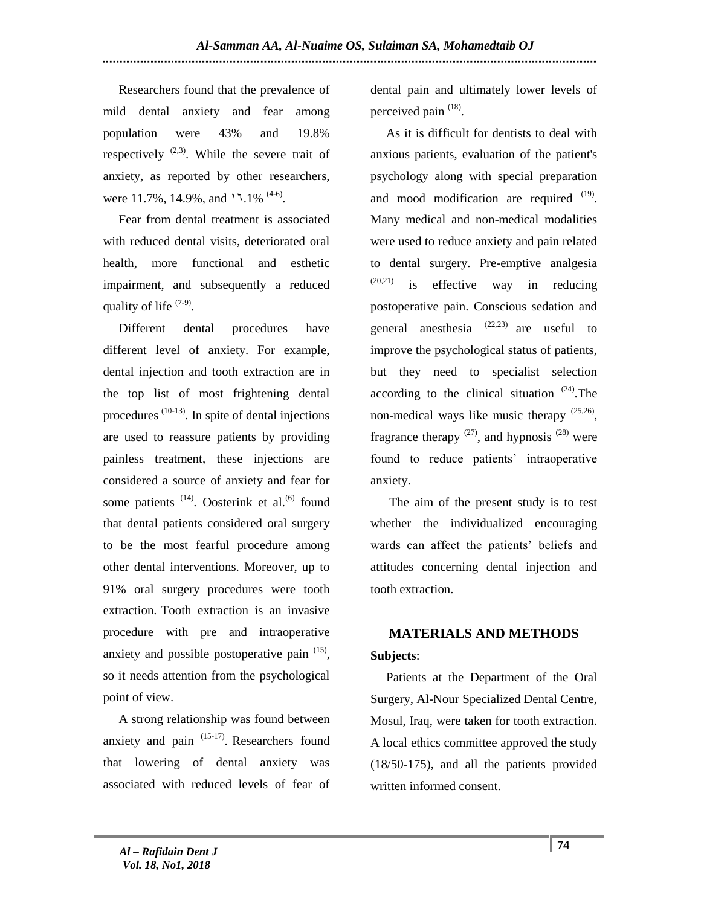Researchers found that the prevalence of mild dental anxiety and fear among population were 43% and 19.8% respectively  $(2,3)$ . While the severe trait of anxiety, as reported by other researchers, were 11.7%, 14.9%, and  $11.1\%$  <sup>(4-6)</sup>.

 Fear from dental treatment is associated with reduced dental visits, deteriorated oral health, more functional and esthetic impairment, and subsequently a reduced quality of life  $(7-9)$ .

 Different dental procedures have different level of anxiety. For example, dental injection and tooth extraction are in the top list of most frightening dental procedures  $(10-13)$ . In spite of dental injections are used to reassure patients by providing painless treatment, these injections are considered a source of anxiety and fear for some patients <sup>(14)</sup>. Oosterink et al.<sup>(6)</sup> found that dental patients considered oral surgery to be the most fearful procedure among other dental interventions. Moreover, up to 91% oral surgery procedures were tooth extraction. Tooth extraction is an invasive procedure with pre and intraoperative anxiety and possible postoperative pain  $(15)$ , so it needs attention from the psychological point of view.

 A strong relationship was found between anxiety and pain  $(15-17)$ . Researchers found that lowering of dental anxiety was associated with reduced levels of fear of

dental pain and ultimately lower levels of perceived pain <sup>(18)</sup>.

 As it is difficult for dentists to deal with anxious patients, evaluation of the patient's psychology along with special preparation and mood modification are required  $(19)$ . Many medical and non-medical modalities were used to reduce anxiety and pain related to dental surgery. Pre-emptive analgesia  $(20,21)$  is effective way in reducing postoperative pain. Conscious sedation and general anesthesia  $(22,23)$  are useful to improve the psychological status of patients, but they need to specialist selection according to the clinical situation  $(24)$ . The non-medical ways like music therapy  $(25,26)$ , fragrance therapy  $^{(27)}$ , and hypnosis  $^{(28)}$  were found to reduce patients' intraoperative anxiety.

 The aim of the present study is to test whether the individualized encouraging wards can affect the patients' beliefs and attitudes concerning dental injection and tooth extraction.

# **MATERIALS AND METHODS Subjects**:

 Patients at the Department of the Oral Surgery, Al-Nour Specialized Dental Centre, Mosul, Iraq, were taken for tooth extraction. A local ethics committee approved the study (18/50-175), and all the patients provided written informed consent.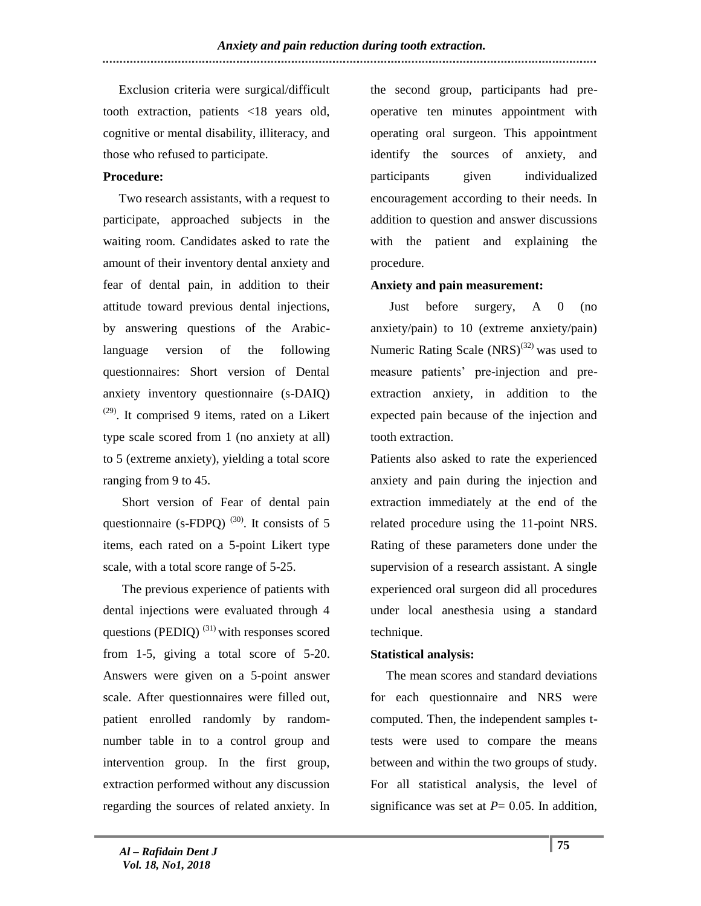Exclusion criteria were surgical/difficult tooth extraction, patients <18 years old, cognitive or mental disability, illiteracy, and those who refused to participate.

## **Procedure:**

 Two research assistants, with a request to participate, approached subjects in the waiting room. Candidates asked to rate the amount of their inventory dental anxiety and fear of dental pain, in addition to their attitude toward previous dental injections, by answering questions of the Arabiclanguage version of the following questionnaires: Short version of Dental anxiety inventory questionnaire (s-DAIQ)  $(29)$ . It comprised 9 items, rated on a Likert type scale scored from 1 (no anxiety at all) to 5 (extreme anxiety), yielding a total score ranging from 9 to 45.

 Short version of Fear of dental pain questionnaire (s-FDPO)  $^{(30)}$ . It consists of 5 items, each rated on a 5-point Likert type scale, with a total score range of 5-25.

 The previous experience of patients with dental injections were evaluated through 4 questions (PEDIQ)  $^{(31)}$  with responses scored from 1-5, giving a total score of 5-20. Answers were given on a 5-point answer scale. After questionnaires were filled out, patient enrolled randomly by randomnumber table in to a control group and intervention group. In the first group, extraction performed without any discussion regarding the sources of related anxiety. In

the second group, participants had preoperative ten minutes appointment with operating oral surgeon. This appointment identify the sources of anxiety, and participants given individualized encouragement according to their needs. In addition to question and answer discussions with the patient and explaining the procedure.

### **Anxiety and pain measurement:**

 Just before surgery, A 0 (no anxiety/pain) to 10 (extreme anxiety/pain) Numeric Rating Scale  $(NRS)^{(32)}$  was used to measure patients' pre-injection and preextraction anxiety, in addition to the expected pain because of the injection and tooth extraction.

Patients also asked to rate the experienced anxiety and pain during the injection and extraction immediately at the end of the related procedure using the 11-point NRS. Rating of these parameters done under the supervision of a research assistant. A single experienced oral surgeon did all procedures under local anesthesia using a standard technique.

# **Statistical analysis:**

 The mean scores and standard deviations for each questionnaire and NRS were computed. Then, the independent samples ttests were used to compare the means between and within the two groups of study. For all statistical analysis, the level of significance was set at  $P = 0.05$ . In addition,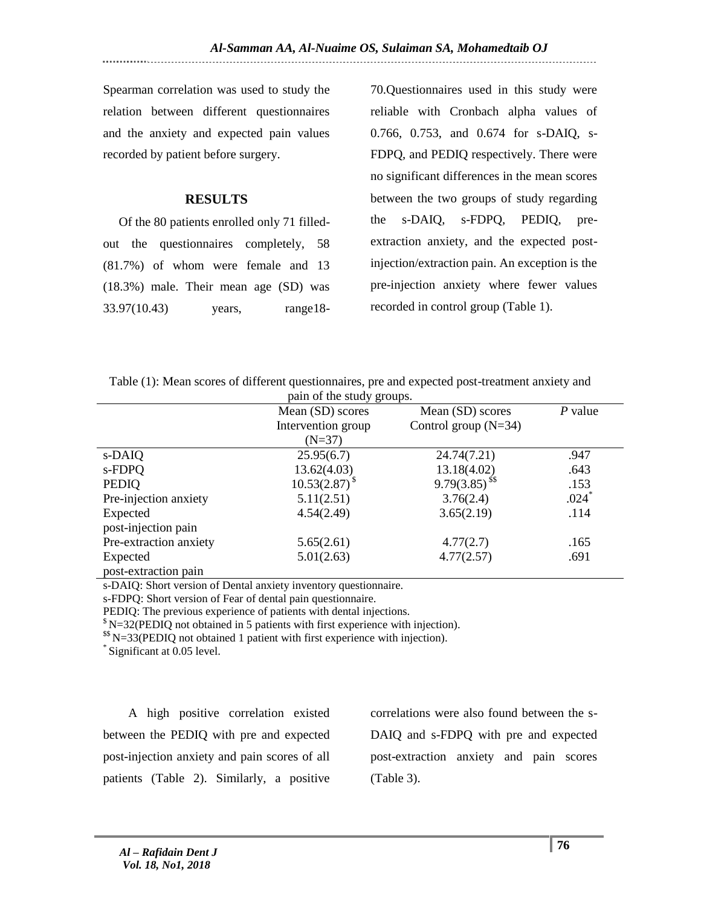Spearman correlation was used to study the relation between different questionnaires and the anxiety and expected pain values recorded by patient before surgery.

# **RESULTS**

 Of the 80 patients enrolled only 71 filledout the questionnaires completely, 58 (81.7%) of whom were female and 13 (18.3%) male. Their mean age (SD) was 33.97(10.43) years, range18-

70.Questionnaires used in this study were reliable with Cronbach alpha values of 0.766, 0.753, and 0.674 for s-DAIQ, s-FDPQ, and PEDIQ respectively. There were no significant differences in the mean scores between the two groups of study regarding the s-DAIQ, s-FDPQ, PEDIQ, preextraction anxiety, and the expected postinjection/extraction pain. An exception is the pre-injection anxiety where fewer values recorded in control group (Table 1).

| Table (1): Mean scores of different questionnaires, pre and expected post-treatment anxiety and |  |  |  |  |
|-------------------------------------------------------------------------------------------------|--|--|--|--|
|-------------------------------------------------------------------------------------------------|--|--|--|--|

|                        | pain of the study groups. |                        |         |
|------------------------|---------------------------|------------------------|---------|
|                        | Mean (SD) scores          | Mean (SD) scores       | P value |
|                        | Intervention group        | Control group $(N=34)$ |         |
|                        | $(N=37)$                  |                        |         |
| s-DAIQ                 | 25.95(6.7)                | 24.74(7.21)            | .947    |
| s-FDPQ                 | 13.62(4.03)               | 13.18(4.02)            | .643    |
| <b>PEDIQ</b>           | $10.53(2.87)^{8}$         | $9.79(3.85)^{55}$      | .153    |
| Pre-injection anxiety  | 5.11(2.51)                | 3.76(2.4)              | $.024*$ |
| Expected               | 4.54(2.49)                | 3.65(2.19)             | .114    |
| post-injection pain    |                           |                        |         |
| Pre-extraction anxiety | 5.65(2.61)                | 4.77(2.7)              | .165    |
| Expected               | 5.01(2.63)                | 4.77(2.57)             | .691    |
| post-extraction pain   |                           |                        |         |

s-DAIQ: Short version of Dental anxiety inventory questionnaire.

s-FDPQ: Short version of Fear of dental pain questionnaire.

PEDIQ: The previous experience of patients with dental injections.

 $\mathrm{s}$  N=32(PEDIO not obtained in 5 patients with first experience with injection).

\$\$ N=33(PEDIQ not obtained 1 patient with first experience with injection).

\* Significant at 0.05 level.

 A high positive correlation existed between the PEDIQ with pre and expected post-injection anxiety and pain scores of all patients (Table 2). Similarly, a positive

correlations were also found between the s-DAIQ and s-FDPQ with pre and expected post-extraction anxiety and pain scores (Table 3).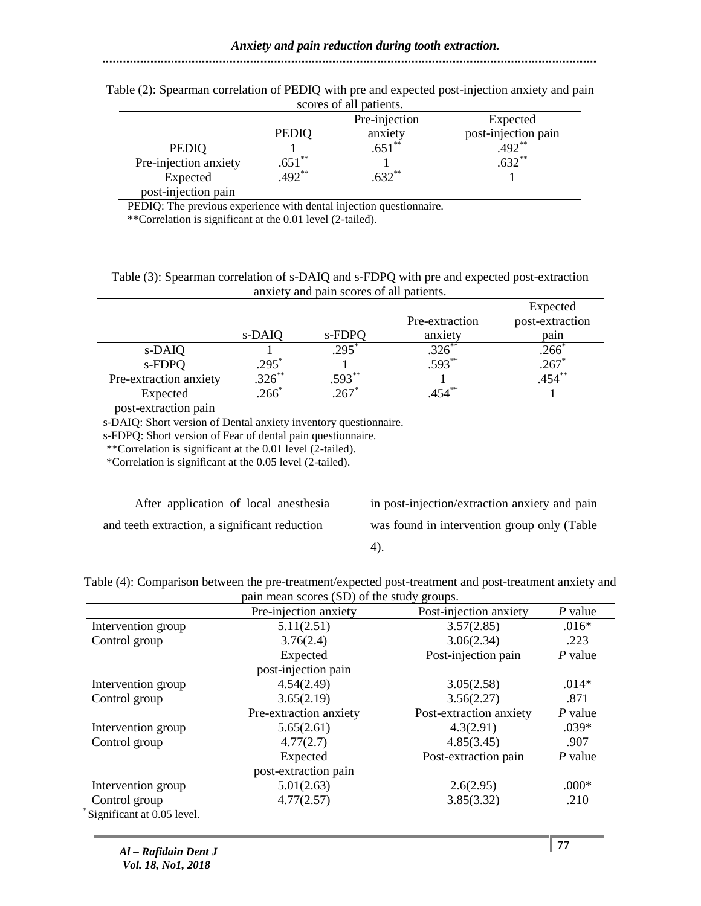#### PEDIQ Pre-injection anxiety Expected post-injection pain PEDIQ 1  $.651^{**}$  .492<sup>\*\*</sup> Pre-injection anxiety  $.651^{**}$  1 .632\*\* Expected post-injection pain  $.492^{**}$  .632\*\* 1

Table (2): Spearman correlation of PEDIQ with pre and expected post-injection anxiety and pain scores of all patients.

PEDIQ: The previous experience with dental injection questionnaire.

\*\*Correlation is significant at the 0.01 level (2-tailed).

### Table (3): Spearman correlation of s-DAIQ and s-FDPQ with pre and expected post-extraction anxiety and pain scores of all patients.

|                        |           |                 |                | Expected        |
|------------------------|-----------|-----------------|----------------|-----------------|
|                        |           |                 | Pre-extraction | post-extraction |
|                        | s-DAIQ    | s-FDPQ          | anxiety        | pain            |
| s-DAIQ                 |           | $295^{\degree}$ | $.326^{**}$    | .266            |
| s-FDPQ                 | $.295*$   |                 | $.593**$       | $.267*$         |
| Pre-extraction anxiety | $.326$ ** | $.593**$        |                | $.454***$       |
| Expected               | $.266*$   | $.267*$         | $.454***$      |                 |
| post-extraction pain   |           |                 |                |                 |

s-DAIQ: Short version of Dental anxiety inventory questionnaire.

s-FDPQ: Short version of Fear of dental pain questionnaire.

\*\*Correlation is significant at the 0.01 level (2-tailed).

\*Correlation is significant at the 0.05 level (2-tailed).

 After application of local anesthesia and teeth extraction, a significant reduction

in post-injection/extraction anxiety and pain was found in intervention group only (Table

4).

| Table (4): Comparison between the pre-treatment/expected post-treatment and post-treatment anxiety and |
|--------------------------------------------------------------------------------------------------------|
| pain mean scores (SD) of the study groups.                                                             |

|                            | Pre-injection anxiety  | Post-injection anxiety  | $P$ value |
|----------------------------|------------------------|-------------------------|-----------|
| Intervention group         | 5.11(2.51)             | 3.57(2.85)              | $.016*$   |
| Control group              | 3.76(2.4)              | 3.06(2.34)              | .223      |
|                            | Expected               | Post-injection pain     | $P$ value |
|                            | post-injection pain    |                         |           |
| Intervention group         | 4.54(2.49)             | 3.05(2.58)              | $.014*$   |
| Control group              | 3.65(2.19)             | 3.56(2.27)              | .871      |
|                            | Pre-extraction anxiety | Post-extraction anxiety | $P$ value |
| Intervention group         | 5.65(2.61)             | 4.3(2.91)               | $.039*$   |
| Control group              | 4.77(2.7)              | 4.85(3.45)              | .907      |
|                            | Expected               | Post-extraction pain    | P value   |
|                            | post-extraction pain   |                         |           |
| Intervention group         | 5.01(2.63)             | 2.6(2.95)               | $.000*$   |
| Control group              | 4.77(2.57)             | 3.85(3.32)              | .210      |
| Significant at 0.05 level. |                        |                         |           |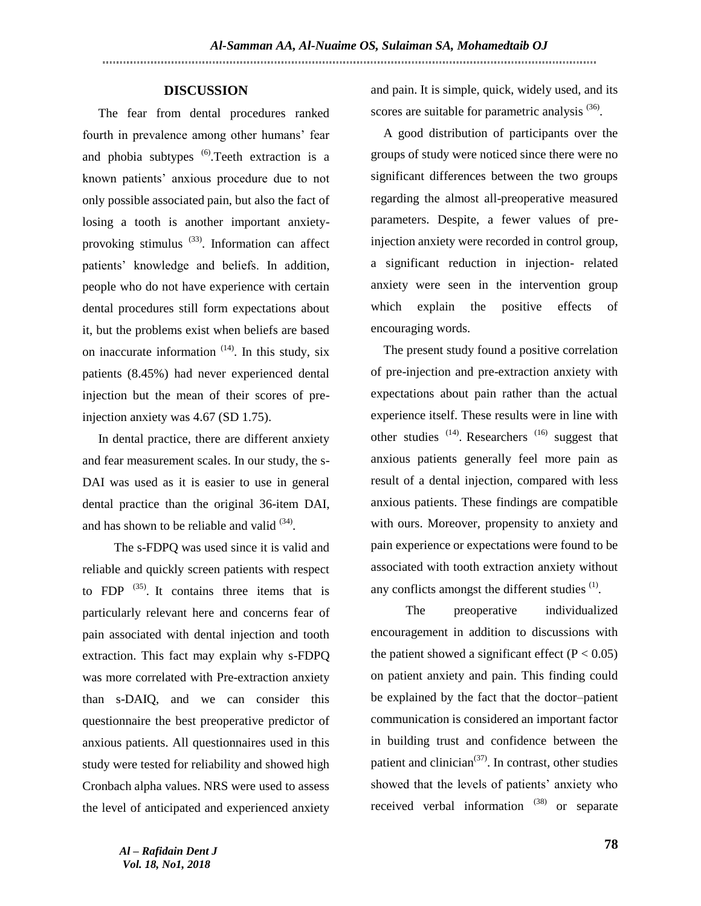### **DISCUSSION**

 The fear from dental procedures ranked fourth in prevalence among other humans' fear and phobia subtypes <sup>(6)</sup>. Teeth extraction is a known patients' anxious procedure due to not only possible associated pain, but also the fact of losing a tooth is another important anxietyprovoking stimulus  $(33)$ . Information can affect patients' knowledge and beliefs. In addition, people who do not have experience with certain dental procedures still form expectations about it, but the problems exist when beliefs are based on inaccurate information  $(14)$ . In this study, six patients (8.45%) had never experienced dental injection but the mean of their scores of preinjection anxiety was 4.67 (SD 1.75).

 In dental practice, there are different anxiety and fear measurement scales. In our study, the s-DAI was used as it is easier to use in general dental practice than the original 36-item DAI, and has shown to be reliable and valid  $(34)$ .

 The s-FDPQ was used since it is valid and reliable and quickly screen patients with respect to FDP  $(35)$ . It contains three items that is particularly relevant here and concerns fear of pain associated with dental injection and tooth extraction. This fact may explain why s-FDPQ was more correlated with Pre-extraction anxiety than s-DAIQ, and we can consider this questionnaire the best preoperative predictor of anxious patients. All questionnaires used in this study were tested for reliability and showed high Cronbach alpha values. NRS were used to assess the level of anticipated and experienced anxiety

and pain. It is simple, quick, widely used, and its scores are suitable for parametric analysis <sup>(36)</sup>.

 A good distribution of participants over the groups of study were noticed since there were no significant differences between the two groups regarding the almost all-preoperative measured parameters. Despite, a fewer values of preinjection anxiety were recorded in control group, a significant reduction in injection- related anxiety were seen in the intervention group which explain the positive effects of encouraging words.

 The present study found a positive correlation of pre-injection and pre-extraction anxiety with expectations about pain rather than the actual experience itself. These results were in line with other studies  $(14)$ . Researchers  $(16)$  suggest that anxious patients generally feel more pain as result of a dental injection, compared with less anxious patients. These findings are compatible with ours. Moreover, propensity to anxiety and pain experience or expectations were found to be associated with tooth extraction anxiety without any conflicts amongst the different studies  $<sup>(1)</sup>$ .</sup>

 The preoperative individualized encouragement in addition to discussions with the patient showed a significant effect  $(P < 0.05)$ on patient anxiety and pain. This finding could be explained by the fact that the doctor–patient communication is considered an important factor in building trust and confidence between the patient and clinician $(37)$ . In contrast, other studies showed that the levels of patients' anxiety who received verbal information  $(38)$  or separate

*Al – Rafidain Dent J Vol. 18, No1, 2018*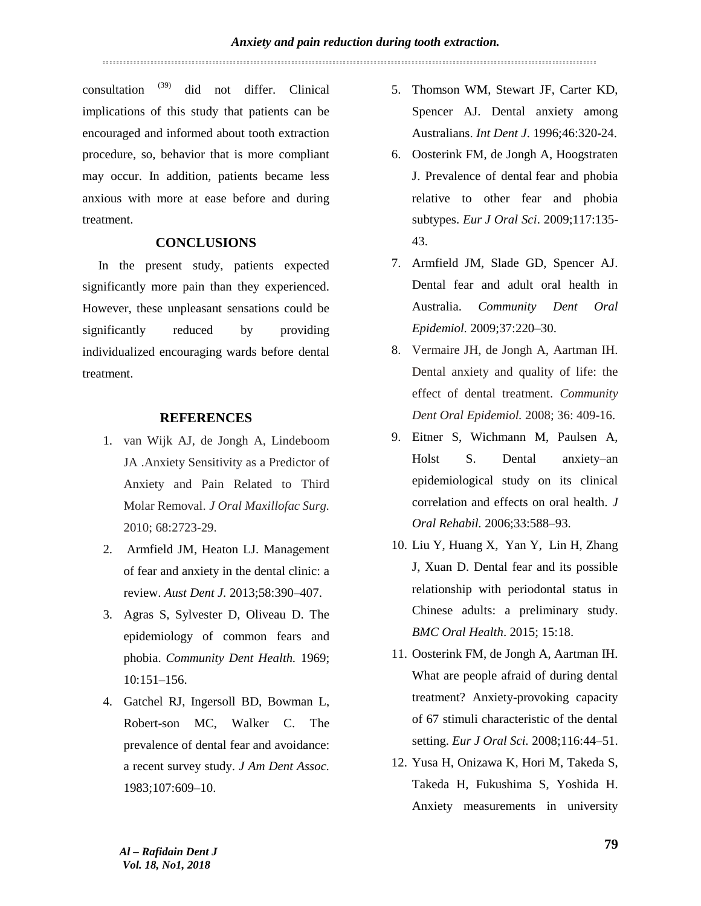consultation  $^{(39)}$  did not differ. Clinical implications of this study that patients can be encouraged and informed about tooth extraction procedure, so, behavior that is more compliant may occur. In addition, patients became less anxious with more at ease before and during treatment.

## **CONCLUSIONS**

In the present study, patients expected significantly more pain than they experienced. However, these unpleasant sensations could be significantly reduced by providing individualized encouraging wards before dental treatment.

### **REFERENCES**

- 1. van Wijk AJ, de Jongh A, Lindeboom JA .Anxiety Sensitivity as a Predictor of Anxiety and Pain Related to Third Molar Removal. *J Oral Maxillofac Surg.* 2010; 68:2723-29.
- 2. Armfield JM, Heaton LJ. Management of fear and anxiety in the dental clinic: a review. *Aust Dent J.* 2013;58:390–407.
- 3. Agras S, Sylvester D, Oliveau D. The epidemiology of common fears and phobia. *Community Dent Health.* 1969; 10:151–156.
- 4. Gatchel RJ, Ingersoll BD, Bowman L, Robert-son MC, Walker C. The prevalence of dental fear and avoidance: a recent survey study. *J Am Dent Assoc.* 1983;107:609–10.
- 5. Thomson WM, Stewart JF, Carter KD, Spencer AJ. Dental anxiety among Australians. *Int Dent J*. 1996;46:320-24.
- 6. Oosterink FM, de Jongh A, Hoogstraten J. Prevalence of dental fear and phobia relative to other fear and phobia subtypes. *Eur J Oral Sci*. 2009;117:135- 43.
- 7. Armfield JM, Slade GD, Spencer AJ. Dental fear and adult oral health in Australia. *Community Dent Oral Epidemiol.* 2009;37:220–30.
- 8. Vermaire JH, de Jongh A, Aartman IH. Dental anxiety and quality of life: the effect of dental treatment. *Community Dent Oral Epidemiol.* 2008; 36: 409-16.
- 9. Eitner S, Wichmann M, Paulsen A, Holst S. Dental anxiety–an epidemiological study on its clinical correlation and effects on oral health. *J Oral Rehabil.* 2006;33:588–93.
- 10. Liu Y, Huang X, Yan Y, Lin H, Zhang J, Xuan D. Dental fear and its possible relationship with periodontal status in Chinese adults: a preliminary study. *BMC Oral Health*. 2015; 15:18.
- 11. Oosterink FM, de Jongh A, Aartman IH. What are people afraid of during dental treatment? Anxiety-provoking capacity of 67 stimuli characteristic of the dental setting. *Eur J Oral Sci.* 2008;116:44–51.
- 12. [Yusa H,](https://www.ncbi.nlm.nih.gov/pubmed/?term=Yusa%20H%5BAuthor%5D&cauthor=true&cauthor_uid=15243465) [Onizawa K,](https://www.ncbi.nlm.nih.gov/pubmed/?term=Onizawa%20K%5BAuthor%5D&cauthor=true&cauthor_uid=15243465) [Hori M,](https://www.ncbi.nlm.nih.gov/pubmed/?term=Hori%20M%5BAuthor%5D&cauthor=true&cauthor_uid=15243465) [Takeda S,](https://www.ncbi.nlm.nih.gov/pubmed/?term=Takeda%20S%5BAuthor%5D&cauthor=true&cauthor_uid=15243465) [Takeda H,](https://www.ncbi.nlm.nih.gov/pubmed/?term=Takeda%20H%5BAuthor%5D&cauthor=true&cauthor_uid=15243465) [Fukushima S,](https://www.ncbi.nlm.nih.gov/pubmed/?term=Fukushima%20S%5BAuthor%5D&cauthor=true&cauthor_uid=15243465) [Yoshida H.](https://www.ncbi.nlm.nih.gov/pubmed/?term=Yoshida%20H%5BAuthor%5D&cauthor=true&cauthor_uid=15243465) Anxiety measurements in university

*Al – Rafidain Dent J Vol. 18, No1, 2018*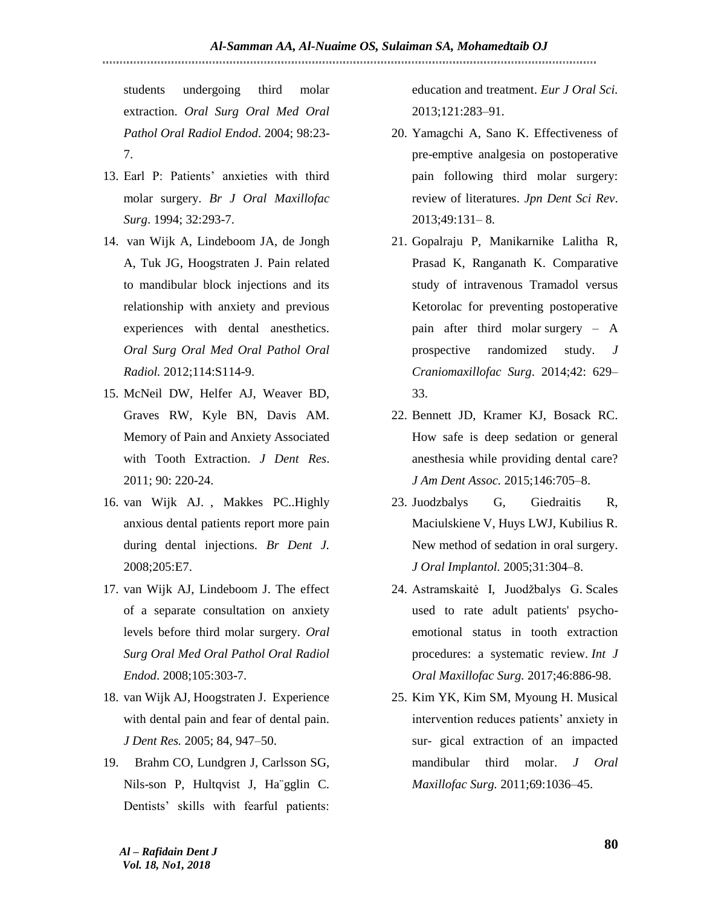students undergoing third molar extraction. *Oral Surg Oral Med Oral Pathol Oral Radiol Endod*. 2004; 98:23- 7.

- 13. Earl P: Patients' anxieties with third molar surgery. *Br J Oral Maxillofac Surg*. 1994; 32:293-7.
- 14. [van Wijk A,](https://www.ncbi.nlm.nih.gov/pubmed/?term=van%20Wijk%20A%5BAuthor%5D&cauthor=true&cauthor_uid=23083950) [Lindeboom JA,](https://www.ncbi.nlm.nih.gov/pubmed/?term=Lindeboom%20JA%5BAuthor%5D&cauthor=true&cauthor_uid=23083950) [de Jongh](https://www.ncbi.nlm.nih.gov/pubmed/?term=de%20Jongh%20A%5BAuthor%5D&cauthor=true&cauthor_uid=23083950)  [A,](https://www.ncbi.nlm.nih.gov/pubmed/?term=de%20Jongh%20A%5BAuthor%5D&cauthor=true&cauthor_uid=23083950) [Tuk JG,](https://www.ncbi.nlm.nih.gov/pubmed/?term=Tuk%20JG%5BAuthor%5D&cauthor=true&cauthor_uid=23083950) [Hoogstraten J.](https://www.ncbi.nlm.nih.gov/pubmed/?term=Hoogstraten%20J%5BAuthor%5D&cauthor=true&cauthor_uid=23083950) Pain related to mandibular block injections and its relationship with anxiety and previous experiences with dental anesthetics. *[Oral Surg Oral Med Oral Pathol Oral](https://www.ncbi.nlm.nih.gov/pubmed/?term=Pain+related+to+mandibular+block+injections+and+its+relationship+with+anxiety+and+previous+experiences+with+dental+anesthetics.)  [Radiol.](https://www.ncbi.nlm.nih.gov/pubmed/?term=Pain+related+to+mandibular+block+injections+and+its+relationship+with+anxiety+and+previous+experiences+with+dental+anesthetics.)* 2012;114:S114-9.
- 15. McNeil DW, Helfer AJ, Weaver BD, Graves RW, Kyle BN, Davis AM. Memory of Pain and Anxiety Associated with Tooth Extraction. *J Dent Res*. 2011; 90: 220-24.
- 16. van Wijk AJ. , Makkes PC..Highly anxious dental patients report more pain during dental injections. *Br Dent J.* 2008;205:E7.
- 17. van Wijk AJ, Lindeboom J. The effect of a separate consultation on anxiety levels before third molar surgery. *Oral Surg Oral Med Oral Pathol Oral Radiol Endod*. 2008;105:303-7.
- 18. van Wijk AJ, Hoogstraten J. Experience with dental pain and fear of dental pain. *J Dent Res.* 2005; 84, 947–50.
- 19. Brahm CO, Lundgren J, Carlsson SG, Nils-son P, Hultqvist J, Ha¨gglin C. Dentists' skills with fearful patients:

education and treatment. *Eur J Oral Sci.* 2013;121:283–91.

- 20. Yamagchi A, Sano K. Effectiveness of pre-emptive analgesia on postoperative pain following third molar surgery: review of literatures. *Jpn Dent Sci Rev*. 2013;49:131– 8.
- 21. Gopalraju P, Manikarnike Lalitha R, Prasad K, Ranganath K. Comparative study of intravenous Tramadol versus Ketorolac for preventing postoperative pain after third molar surgery – A prospective randomized study. *J Craniomaxillofac Surg*. 2014;42: 629– 33.
- 22. Bennett JD, Kramer KJ, Bosack RC. How safe is deep sedation or general anesthesia while providing dental care? *J Am Dent Assoc.* 2015;146:705–8.
- 23. Juodzbalys G, Giedraitis R, Maciulskiene V, Huys LWJ, Kubilius R. New method of sedation in oral surgery. *J Oral Implantol.* 2005;31:304–8.
- 24. [Astramskaitė I,](https://www.ncbi.nlm.nih.gov/pubmed/?term=Astramskait%C4%97%20I%5BAuthor%5D&cauthor=true&cauthor_uid=28377143) [Juodžbalys G.](https://www.ncbi.nlm.nih.gov/pubmed/?term=Juod%C5%BEbalys%20G%5BAuthor%5D&cauthor=true&cauthor_uid=28377143) Scales used to rate adult patients' psychoemotional status in tooth extraction procedures: a systematic review[.](https://www.ncbi.nlm.nih.gov/pubmed/28377143) *[Int J](https://www.ncbi.nlm.nih.gov/pubmed/28377143)  [Oral Maxillofac Surg.](https://www.ncbi.nlm.nih.gov/pubmed/28377143)* 2017;46:886-98.
- 25. Kim YK, Kim SM, Myoung H. Musical intervention reduces patients' anxiety in sur- gical extraction of an impacted mandibular third molar. *J Oral Maxillofac Surg.* 2011;69:1036–45.

*Al – Rafidain Dent J Vol. 18, No1, 2018*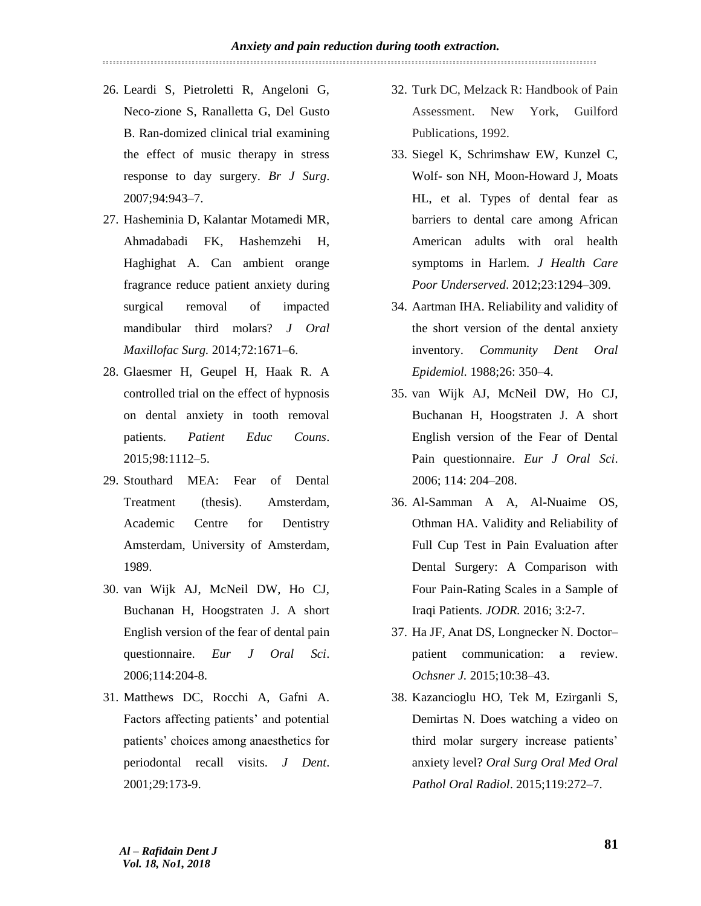- 26. Leardi S, Pietroletti R, Angeloni G, Neco-zione S, Ranalletta G, Del Gusto B. Ran-domized clinical trial examining the effect of music therapy in stress response to day surgery. *Br J Surg*. 2007;94:943–7.
- 27. Hasheminia D, Kalantar Motamedi MR, Ahmadabadi FK, Hashemzehi H, Haghighat A. Can ambient orange fragrance reduce patient anxiety during surgical removal of impacted mandibular third molars? *J Oral Maxillofac Surg.* 2014;72:1671–6.
- 28. Glaesmer H, Geupel H, Haak R. A controlled trial on the effect of hypnosis on dental anxiety in tooth removal patients. *Patient Educ Couns*. 2015;98:1112–5.
- 29. Stouthard MEA: Fear of Dental Treatment (thesis). Amsterdam, Academic Centre for Dentistry Amsterdam, University of Amsterdam, 1989.
- 30. van Wijk AJ, McNeil DW, Ho CJ, Buchanan H, Hoogstraten J. A short English version of the fear of dental pain questionnaire. *Eur J Oral Sci*. 2006;114:204-8.
- 31. Matthews DC, Rocchi A, Gafni A. Factors affecting patients' and potential patients' choices among anaesthetics for periodontal recall visits. *J Dent*. 2001;29:173-9.
- 32. Turk DC, Melzack R: Handbook of Pain Assessment. New York, Guilford Publications, 1992.
- 33. Siegel K, Schrimshaw EW, Kunzel C, Wolf- son NH, Moon-Howard J, Moats HL, et al. Types of dental fear as barriers to dental care among African American adults with oral health symptoms in Harlem. *J Health Care Poor Underserved*. 2012;23:1294–309.
- 34. Aartman IHA. Reliability and validity of the short version of the dental anxiety inventory. *Community Dent Oral Epidemiol.* 1988;26: 350–4.
- 35. van Wijk AJ, McNeil DW, Ho CJ, Buchanan H, Hoogstraten J. A short English version of the Fear of Dental Pain questionnaire. *Eur J Oral Sci*. 2006; 114: 204–208.
- 36. Al-Samman A A, Al-Nuaime OS, Othman HA. Validity and Reliability of Full Cup Test in Pain Evaluation after Dental Surgery: A Comparison with Four Pain-Rating Scales in a Sample of Iraqi Patients. *JODR.* 2016; 3:2-7.
- 37. Ha JF, Anat DS, Longnecker N. Doctor– patient communication: a review. *Ochsner J.* 2015;10:38–43.
- 38. Kazancioglu HO, Tek M, Ezirganli S, Demirtas N. Does watching a video on third molar surgery increase patients' anxiety level? *Oral Surg Oral Med Oral Pathol Oral Radiol*. 2015;119:272–7.